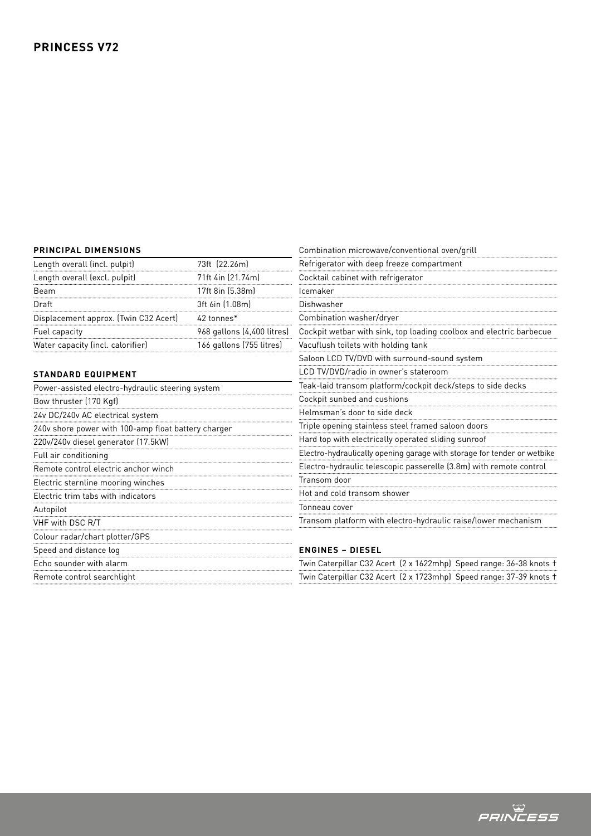#### **PRINCIPAL DIMENSIONS**

| <b>PRINCIPAL DIMENSIONS</b>                         |                            | Combination microwave/conventional oven/grill                           |
|-----------------------------------------------------|----------------------------|-------------------------------------------------------------------------|
| Length overall (incl. pulpit)                       | 73ft (22.26m)              | Refrigerator with deep freeze compartment                               |
| Length overall (excl. pulpit)                       | 71ft 4in (21.74m)          | Cocktail cabinet with refrigerator                                      |
| Beam                                                | 17ft 8in (5.38m)           | Icemaker                                                                |
| Draft                                               | 3ft 6in (1.08m)            | Dishwasher                                                              |
| Displacement approx. (Twin C32 Acert)               | 42 tonnes*                 | Combination washer/dryer                                                |
| Fuel capacity                                       | 968 gallons (4,400 litres) | Cockpit wetbar with sink, top loading coolbox and electric barbecue     |
| Water capacity (incl. calorifier)                   | 166 gallons (755 litres)   | Vacuflush toilets with holding tank                                     |
|                                                     |                            | Saloon LCD TV/DVD with surround-sound system                            |
| <b>STANDARD EQUIPMENT</b>                           |                            | LCD TV/DVD/radio in owner's stateroom                                   |
| Power-assisted electro-hydraulic steering system    |                            | Teak-laid transom platform/cockpit deck/steps to side decks             |
| Bow thruster (170 Kgf)                              |                            | Cockpit sunbed and cushions                                             |
| 24v DC/240v AC electrical system                    |                            | Helmsman's door to side deck                                            |
| 240v shore power with 100-amp float battery charger |                            | Triple opening stainless steel framed saloon doors                      |
| 220v/240v diesel generator (17.5kW)                 |                            | Hard top with electrically operated sliding sunroof                     |
| Full air conditioning                               |                            | Electro-hydraulically opening garage with storage for tender or wetbike |
| Remote control electric anchor winch                |                            | Electro-hydraulic telescopic passerelle (3.8m) with remote control      |
| Electric sternline mooring winches                  |                            | Transom door                                                            |
| Electric trim tabs with indicators                  |                            | Hot and cold transom shower                                             |
| Autopilot                                           |                            | Tonneau cover                                                           |
| VHF with DSC R/T                                    |                            | Transom platform with electro-hydraulic raise/lower mechanism           |
| Colour radar/chart plotter/GPS                      |                            |                                                                         |
| Speed and distance log                              |                            | <b>ENGINES - DIESEL</b>                                                 |
| Echo sounder with alarm                             |                            | Twin Caterpillar C32 Acert (2 x 1622mhp) Speed range: 36-38 knots t     |
| Remote control searchlight                          |                            | Twin Caterpillar C32 Acert (2 x 1723mhp) Speed range: 37-39 knots +     |

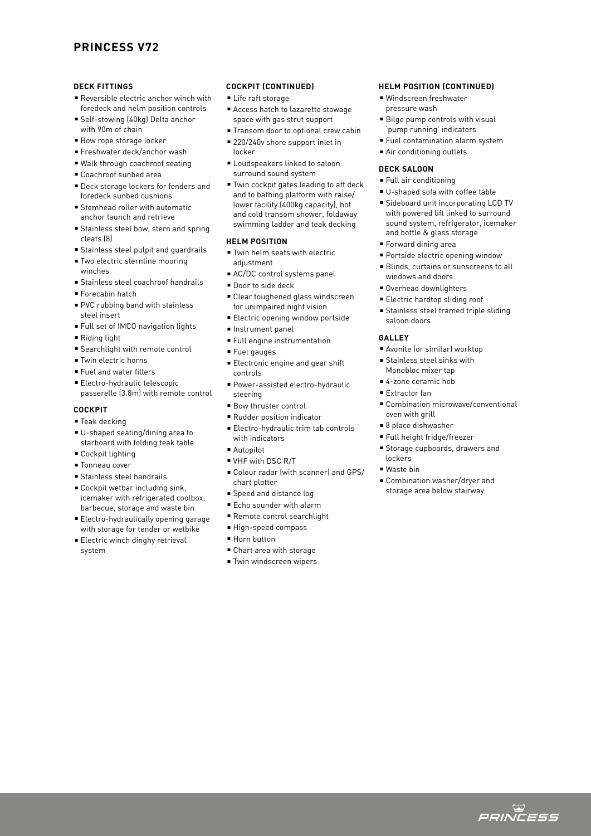# **PRINCESS V72**

#### **DECK FITTINGS**

- Reversible electric anchor winch with foredeck and helm position controls
- Self-stowing (40kg) Delta anchor with 90m of chain
- Bow rope storage locker
- Freshwater deck/anchor wash
- Walk through coachroof seating
- Coachroof sunbed area
- **Deck storage lockers for fenders and** foredeck sunbed cushions
- $\blacksquare$  Stemhead roller with automatic anchor launch and retrieve
- **Example Stainless steel bow, stern and spring** cleats (8)
- <sup>n</sup> Stainless steel pulpit and guardrails
- Two electric sternline mooring winches
- <sup>n</sup> Stainless steel coachroof handrails
- <sup>n</sup> Forecabin hatch
- PVC rubbing band with stainless steel insert
- Full set of IMCO navigation lights
- $\blacksquare$  Riding light
- **Exerchlight with remote control**
- Twin electric horns
- **Fuel and water fillers**
- Electro-hydraulic telescopic passerelle (3.8m) with remote control

# **COCKPIT**

- $\square$  Teak decking
- <sup>n</sup> U-shaped seating/dining area to starboard with folding teak table
- Cockpit lighting
- Tonneau cover
- **Stainless steel handrails**
- Cockpit wetbar including sink. icemaker with refrigerated coolbox, barbecue, storage and waste bin
- **Electro-hydraulically opening garage** with storage for tender or wetbike
- **Electric winch dinghy retrieval** system

#### **COCKPIT (CONTINUED)**

- Life raft storage
- <sup>n</sup> Access hatch to lazarette stowage space with gas strut support
- Transom door to optional crew cabin
- 220/240v shore support inlet in locker
- Loudspeakers linked to saloon surround sound system
- Twin cockpit gates leading to aft deck and to bathing platform with raise/ lower facility (400kg capacity), hot and cold transom shower, foldaway swimming ladder and teak decking

## **HELM POSITION**

- <sup>n</sup> Twin helm seats with electric adjustment
- AC/DC control systems panel
- Door to side deck
- Clear toughened glass windscreen for unimpaired night vision
- **Electric opening window portside**
- <sup>n</sup> Instrument panel
- **Full engine instrumentation**
- Fuel gauges
- **Electronic engine and gear shift** controls
- <sup>n</sup> Power-assisted electro-hydraulic steering
- <sup>n</sup> Bow thruster control
- Rudder position indicator
- Electro-hydraulic trim tab controls with indicators
- <sup>n</sup> Autopilot
- **N** VHF with DSC R/T
- <sup>n</sup> Colour radar (with scanner) and GPS/ chart plotter
- **Speed and distance log**
- Echo sounder with alarm
- Remote control searchlight
- <sup>n</sup> High-speed compass
- <sup>n</sup> Horn button
- Chart area with storage
- Twin windscreen wipers

### **HELM POSITION (CONTINUED)**

- Windscreen freshwater pressure wash
- Bilge pump controls with visual 'pump running' indicators
- <sup>n</sup> Fuel contamination alarm system
- Air conditioning outlets

## **DECK SALOON**

- $\blacksquare$  Full air conditioning
- U-shaped sofa with coffee table
- Sideboard unit incorporating LCD TV with powered lift linked to surround sound system, refrigerator, icemaker and bottle & glass storage
- Forward dining area
- **Portside electric opening window**
- **Blinds, curtains or sunscreens to all** windows and doors
- Overhead downlighters
- **Electric hardtop sliding roof**
- **Stainless steel framed triple sliding** saloon doors

#### **GALLEY**

- <sup>n</sup> Avonite (or similar) worktop
- $\blacksquare$  Stainless steel sinks with
- Monobloc mixer tap ■ 4-zone ceramic hob
- $E$  Extractor fan
- 
- Combination microwave/conventional oven with grill
- 8 place dishwasher
- Full height fridge/freezer
- <sup>n</sup> Storage cupboards, drawers and lockers
- $W$ aste bin
- <sup>n</sup> Combination washer/dryer and storage area below stairway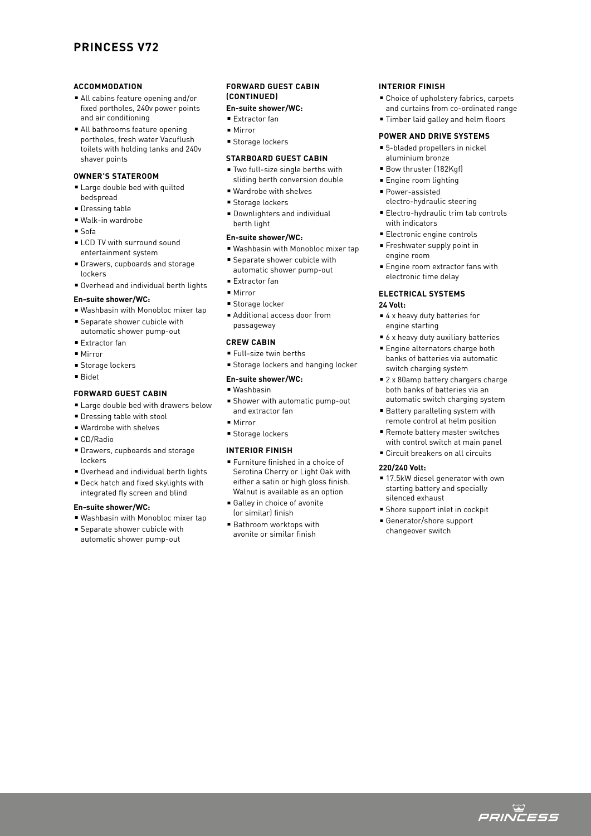# **PRINCESS V72**

#### **ACCOMMODATION**

- <sup>n</sup> All cabins feature opening and/or fixed portholes, 240v power points and air conditioning
- All bathrooms feature opening portholes, fresh water Vacuflush toilets with holding tanks and 240v shaver points

#### **OWNER'S STATEROOM**

- **Example 1** Large double bed with quilted bedspread
- **Dressing table**
- $\blacksquare$  Walk-in wardrobe
- $s$  Sofa
- **ELCD TV with surround sound** entertainment system
- <sup>n</sup> Drawers, cupboards and storage lockers
- Overhead and individual berth lights

# **En-suite shower/WC:**

- <sup>n</sup> Washbasin with Monobloc mixer tap
- **Separate shower cubicle with**
- automatic shower pump-out
- Extractor fan
- Mirror
- **Storage lockers**
- <sup>n</sup> Bidet

## **FORWARD GUEST CABIN**

- **Example 2** Large double bed with drawers below
- **Dressing table with stool**
- Wardrobe with shelves
- <sup>n</sup> CD/Radio
- <sup>n</sup> Drawers, cupboards and storage lockers
- <sup>n</sup> Overhead and individual berth lights
- Deck hatch and fixed skylights with integrated fly screen and blind

#### **En-suite shower/WC:**

■ Washbasin with Monobloc mixer tap **E** Separate shower cubicle with automatic shower pump-out

# **FORWARD GUEST CABIN (CONTINUED)**

# **En-suite shower/WC:**

- <sup>n</sup> Extractor fan
- $Mirror$
- Storage lockers

#### **STARBOARD GUEST CABIN**

- Two full-size single berths with sliding berth conversion double
- Wardrobe with shelves
- Storage lockers
- **Downlighters and individual** berth light

#### **En-suite shower/WC:**

- Washbasin with Monobloc mixer tap
- **E** Separate shower cubicle with automatic shower pump-out
- <sup>n</sup> Extractor fan
- $Mirror$
- Storage locker
- Additional access door from passageway

### **CREW CABIN**

- Full-size twin berths
- Storage lockers and hanging locker

### **En-suite shower/WC:**

- $N$ achhacin
- <sup>n</sup> Shower with automatic pump-out and extractor fan
- $Mirror$
- <sup>n</sup> Storage lockers

# **INTERIOR FINISH**

- Furniture finished in a choice of Serotina Cherry or Light Oak with either a satin or high gloss finish. Walnut is available as an option
- <sup>n</sup> Galley in choice of avonite (or similar) finish
- Bathroom worktops with avonite or similar finish

### **INTERIOR FINISH**

- Choice of upholstery fabrics, carpets
- and curtains from co-ordinated range
- Timber laid galley and helm floors

# **POWER AND DRIVE SYSTEMS**

- 5-bladed propellers in nickel aluminium bronze
- Bow thruster (182Kgf)
- **Engine room lighting**
- Power-assisted
- electro-hydraulic steering
- Electro-hydraulic trim tab controls with indicators
- Electronic engine controls
- **Freshwater supply point in** engine room
- **Engine room extractor fans with** electronic time delay

# **ELECTRICAL SYSTEMS**

## **24 Volt:**

- 4 x heavy duty batteries for engine starting
- $\bullet$  6 x heavy duty auxiliary batteries
- Engine alternators charge both banks of batteries via automatic switch charging system
- 2 x 80amp battery chargers charge both banks of batteries via an
- automatic switch charging system ■ Battery paralleling system with
- remote control at helm position ■ Remote battery master switches
- with control switch at main panel ■ Circuit breakers on all circuits
- 

# **220/240 Volt:**

- 17.5kW diesel generator with own starting battery and specially silenced exhaust
- Shore support inlet in cockpit
- Generator/shore support changeover switch